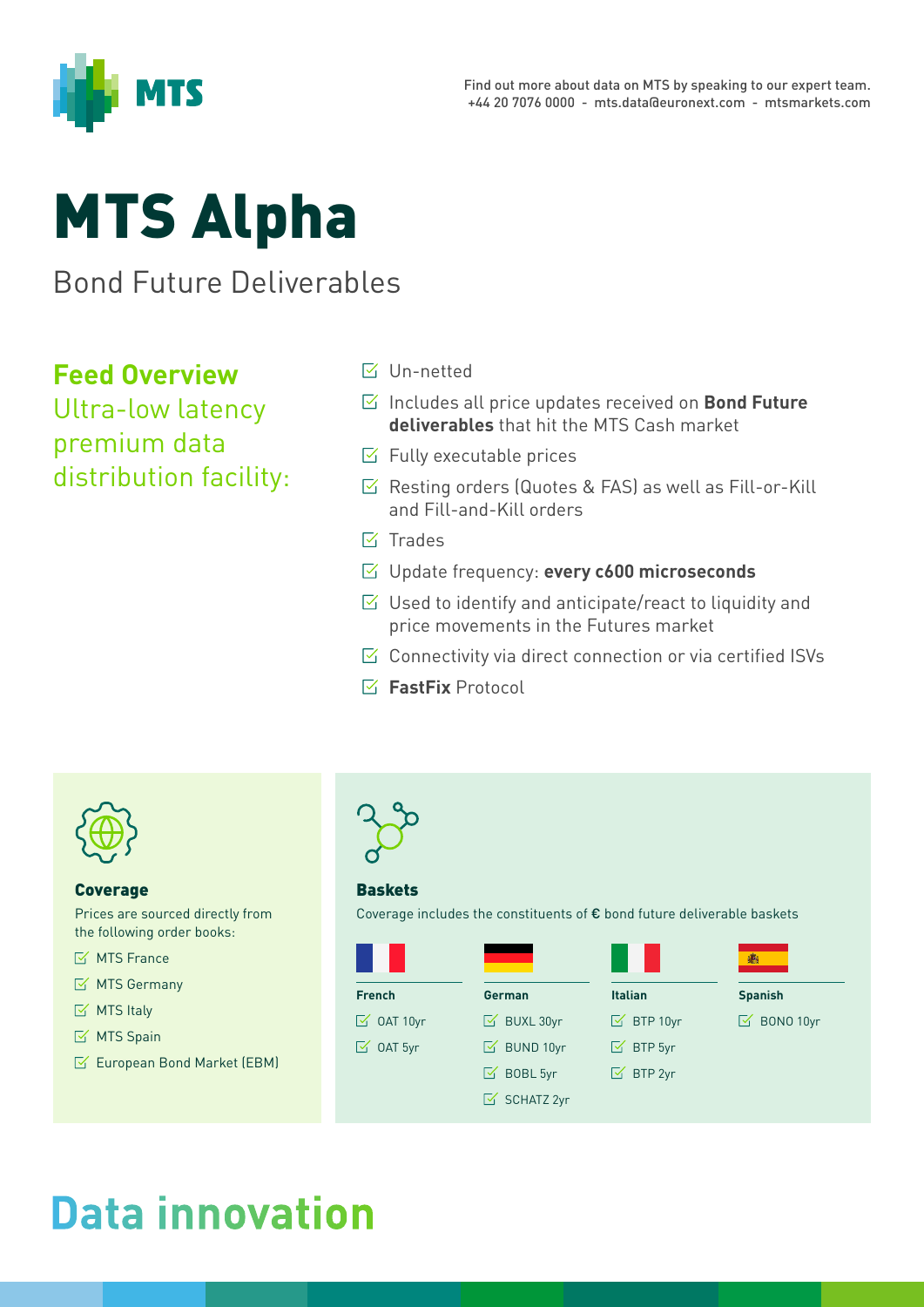

# MTS Alpha

Bond Future Deliverables

#### **Feed Overview**

Ultra-low latency premium data distribution facility:

- **Ⅳ** Un-netted
- Includes all price updates received on **Bond Future deliverables** that hit the MTS Cash market
- $\triangleright$  Fully executable prices
- $\triangleright$  Resting orders (Quotes & FAS) as well as Fill-or-Kill and Fill-and-Kill orders
- $\overline{\mathsf{M}}$  Trades
- Update frequency: **every c600 microseconds**
- $\triangledown$  Used to identify and anticipate/react to liquidity and price movements in the Futures market
- $\boxtimes$  Connectivity via direct connection or via certified ISVs
- **FastFix** Protocol



#### Coverage

Prices are sourced directly from the following order books:

- $\mathbb{Z}$  MTS France
- $\mathbb{K}$  MTS Germany
- $\boxtimes$  MTS Italy
- $M$  MTS Spain
- $\mathbb{K}$  European Bond Market (EBM)



#### **Baskets**

Coverage includes the constituents of € bond future deliverable baskets

|                           |                        |                      | 癵                     |
|---------------------------|------------------------|----------------------|-----------------------|
| <b>French</b>             | German                 | <b>Italian</b>       | <b>Spanish</b>        |
| $\boxed{\simeq}$ OAT 10yr | $\boxtimes$ BUXL 30yr  | $\boxtimes$ BTP 10yr | $\boxtimes$ BONO 10yr |
| $\boxed{\simeq}$ OAT 5yr  | $\boxtimes$ BUND 10yr  | $\boxtimes$ BTP 5yr  |                       |
|                           | Ⅳ BOBL 5yr             | $\boxtimes$ BTP 2yr  |                       |
|                           | $\boxtimes$ SCHATZ 2yr |                      |                       |

# **Data innovation**